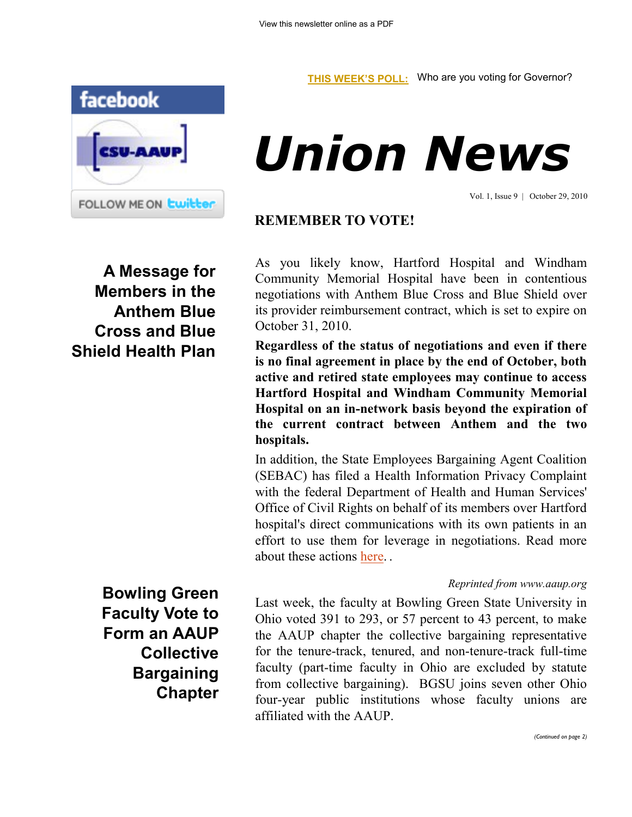

## *Union News*

Vol. 1, Issue 9 | October 29, 2010

## **REMEMBER TO VOTE!**

**A Message for Members in the Anthem Blue Cross and Blue Shield Health Plan** As you likely know, Hartford Hospital and Windham Community Memorial Hospital have been in contentious negotiations with Anthem Blue Cross and Blue Shield over its provider reimbursement contract, which is set to expire on October 31, 2010.

**Regardless of the status of negotiations and even if there is no final agreement in place by the end of October, both active and retired state employees may continue to access Hartford Hospital and Windham Community Memorial Hospital on an in-network basis beyond the expiration of the current contract between Anthem and the two hospitals.** 

In addition, the State Employees Bargaining Agent Coalition (SEBAC) has filed a Health Information Privacy Complaint with the federal Department of Health and Human Services' Office of Civil Rights on behalf of its members over Hartford hospital's direct communications with its own patients in an effort to use them for leverage in negotiations. Read more about these actions [here.](http://www.csuaaup.org/wp-content/uploads/2010/10/SEBACHHANTHEMPR.pdf) .

## *Reprinted from www.aaup.org*

Last week, the faculty at Bowling Green State University in Ohio voted 391 to 293, or 57 percent to 43 percent, to make the AAUP chapter the collective bargaining representative for the tenure-track, tenured, and non-tenure-track full-time faculty (part-time faculty in Ohio are excluded by statute from collective bargaining). BGSU joins seven other Ohio four-year public institutions whose faculty unions are affiliated with the AAUP.

**Bowling Green Faculty Vote to Form an AAUP Collective Bargaining Chapter**